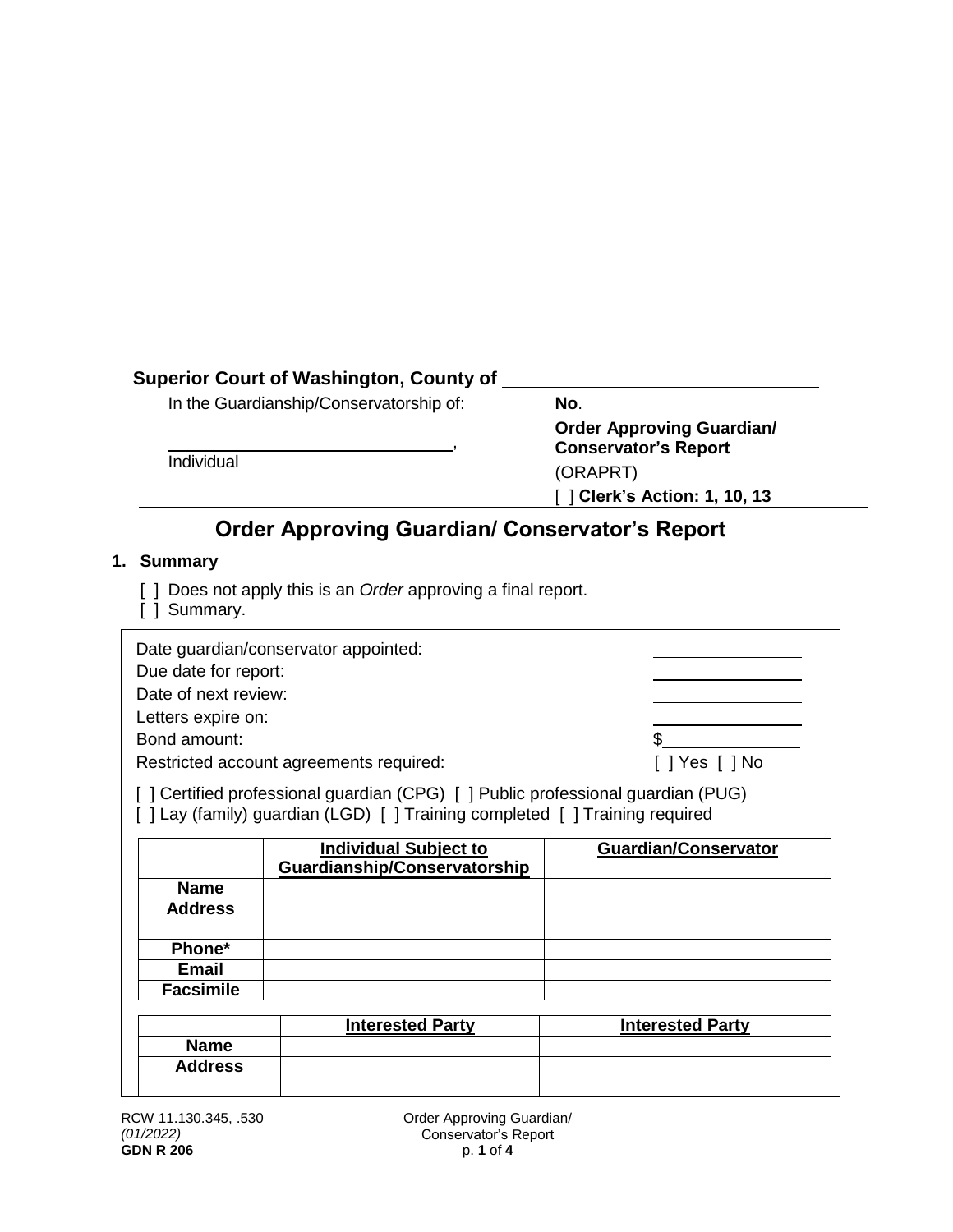# **Superior Court of Washington, County of**

In the Guardianship/Conservatorship of:

Individual

**No**. **Order Approving Guardian/ Conservator's Report** (ORAPRT) [ ] **Clerk's Action: 1, 10, 13**

# **Order Approving Guardian/ Conservator's Report**

,

## **1. Summary**

- [ ] Does not apply this is an *Order* approving a final report.
- [ ] Summary.

| Date guardian/conservator appointed:<br>Due date for report:<br>Date of next review:<br>Letters expire on:<br>Bond amount:<br>Restricted account agreements required:<br>[] Certified professional guardian (CPG) [] Public professional guardian (PUG) |                                                              |                             |  |  |  |  |
|---------------------------------------------------------------------------------------------------------------------------------------------------------------------------------------------------------------------------------------------------------|--------------------------------------------------------------|-----------------------------|--|--|--|--|
| [] Lay (family) guardian (LGD) [] Training completed [] Training required                                                                                                                                                                               |                                                              |                             |  |  |  |  |
|                                                                                                                                                                                                                                                         |                                                              |                             |  |  |  |  |
|                                                                                                                                                                                                                                                         |                                                              |                             |  |  |  |  |
|                                                                                                                                                                                                                                                         | <b>Individual Subject to</b><br>Guardianship/Conservatorship | <b>Guardian/Conservator</b> |  |  |  |  |
| <b>Name</b>                                                                                                                                                                                                                                             |                                                              |                             |  |  |  |  |
| <b>Address</b>                                                                                                                                                                                                                                          |                                                              |                             |  |  |  |  |
|                                                                                                                                                                                                                                                         |                                                              |                             |  |  |  |  |
| Phone*                                                                                                                                                                                                                                                  |                                                              |                             |  |  |  |  |
| <b>Email</b>                                                                                                                                                                                                                                            |                                                              |                             |  |  |  |  |
| <b>Facsimile</b>                                                                                                                                                                                                                                        |                                                              |                             |  |  |  |  |
|                                                                                                                                                                                                                                                         |                                                              |                             |  |  |  |  |
|                                                                                                                                                                                                                                                         | <b>Interested Party</b>                                      | <b>Interested Party</b>     |  |  |  |  |
| <b>Name</b>                                                                                                                                                                                                                                             |                                                              |                             |  |  |  |  |
| <b>Address</b>                                                                                                                                                                                                                                          |                                                              |                             |  |  |  |  |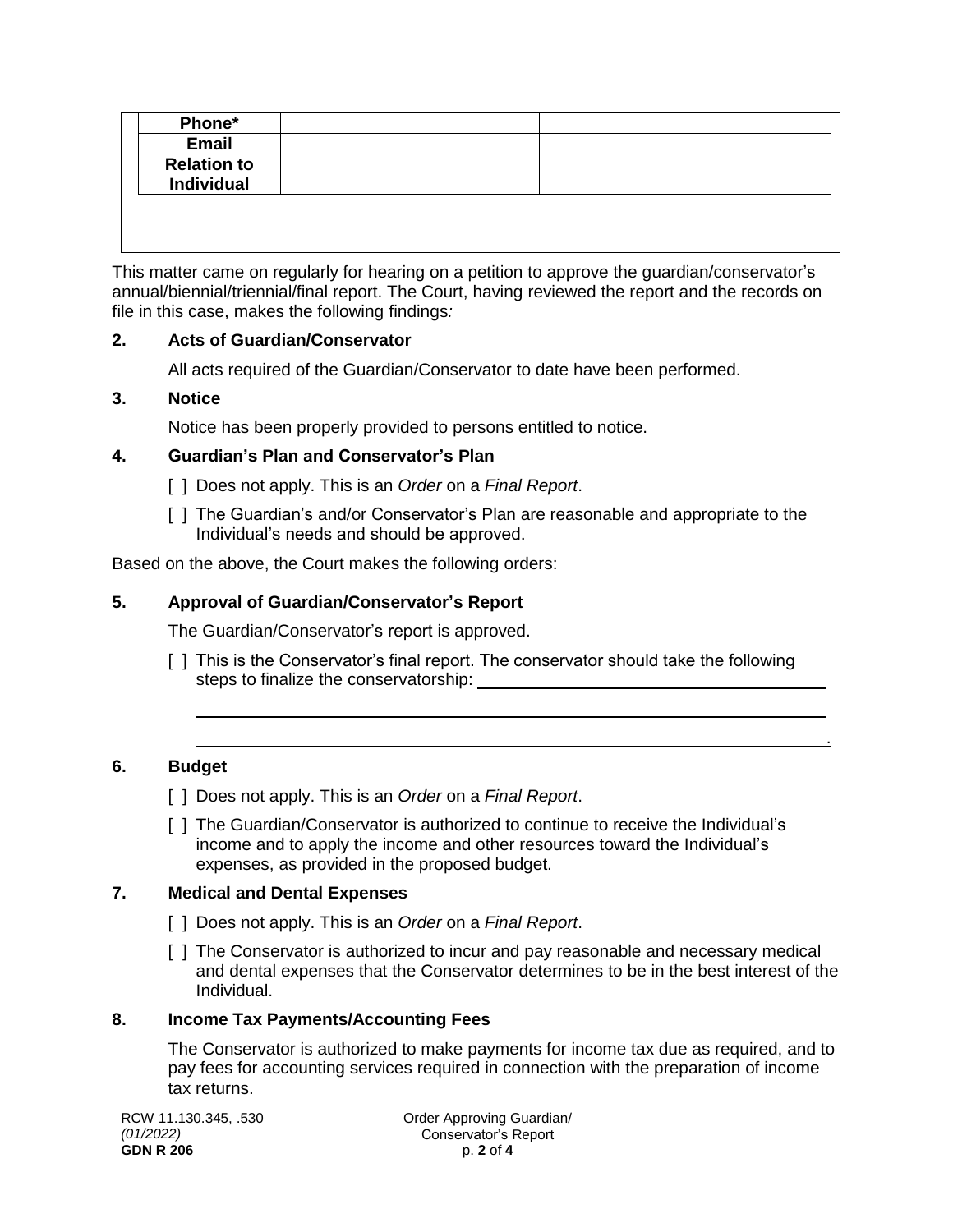| <b>Email</b>                            |  |
|-----------------------------------------|--|
| <b>Relation to</b><br><b>Individual</b> |  |

This matter came on regularly for hearing on a petition to approve the guardian/conservator's annual/biennial/triennial/final report. The Court, having reviewed the report and the records on file in this case, makes the following findings*:*

#### **2. Acts of Guardian/Conservator**

All acts required of the Guardian/Conservator to date have been performed.

#### **3. Notice**

Notice has been properly provided to persons entitled to notice.

#### **4. Guardian's Plan and Conservator's Plan**

- [ ] Does not apply. This is an *Order* on a *Final Report*.
- [ ] The Guardian's and/or Conservator's Plan are reasonable and appropriate to the Individual's needs and should be approved.

Based on the above, the Court makes the following orders:

## **5. Approval of Guardian/Conservator's Report**

The Guardian/Conservator's report is approved.

[ ] This is the Conservator's final report. The conservator should take the following steps to finalize the conservatorship:

.

#### **6. Budget**

- [ ] Does not apply. This is an *Order* on a *Final Report*.
- [ ] The Guardian/Conservator is authorized to continue to receive the Individual's income and to apply the income and other resources toward the Individual's expenses, as provided in the proposed budget.

## **7. Medical and Dental Expenses**

- [ ] Does not apply. This is an *Order* on a *Final Report*.
- [ ] The Conservator is authorized to incur and pay reasonable and necessary medical and dental expenses that the Conservator determines to be in the best interest of the Individual.

#### **8. Income Tax Payments/Accounting Fees**

The Conservator is authorized to make payments for income tax due as required, and to pay fees for accounting services required in connection with the preparation of income tax returns.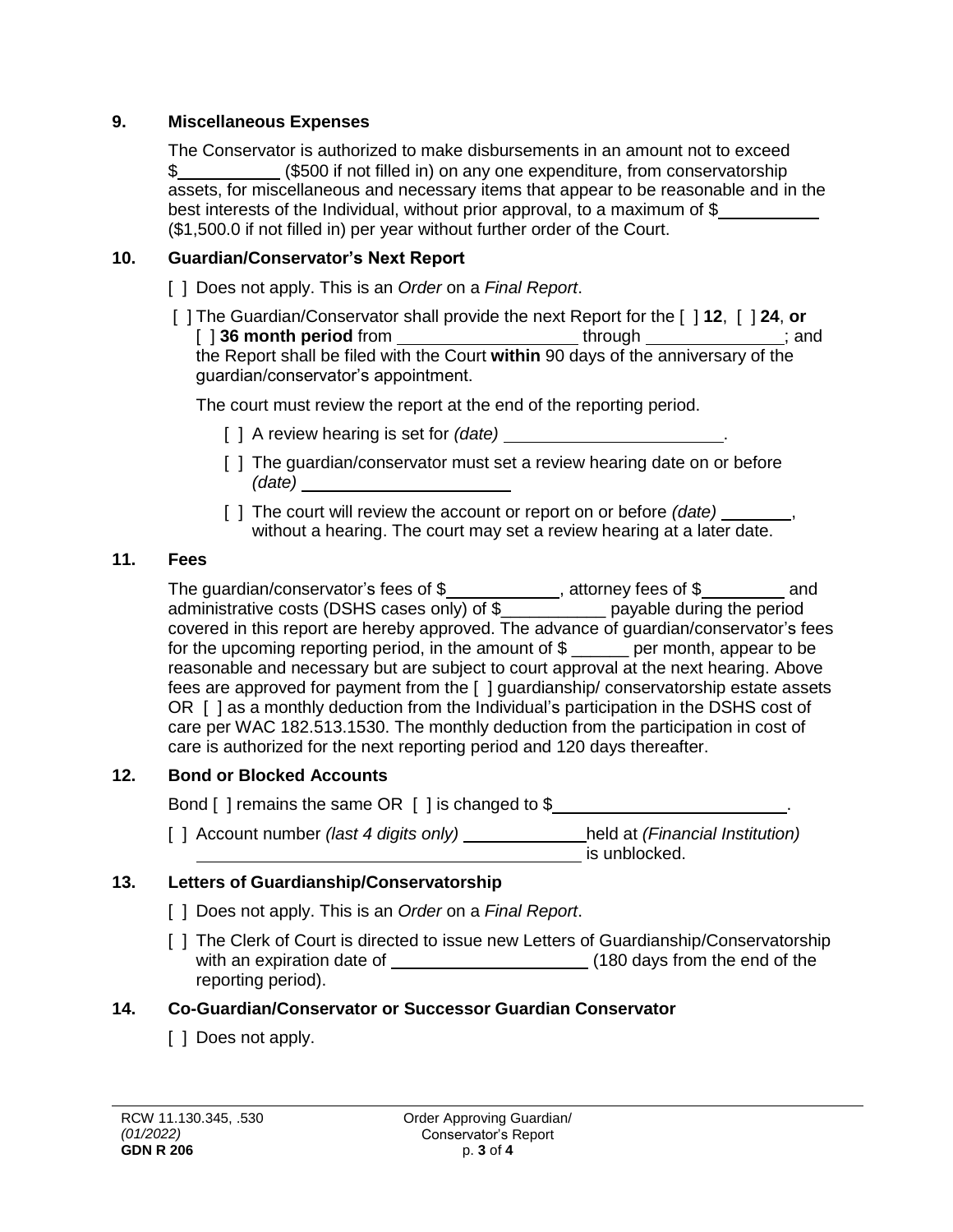#### **9. Miscellaneous Expenses**

The Conservator is authorized to make disbursements in an amount not to exceed \$\_\_\_\_\_\_\_\_\_\_\_\_\_\_ (\$500 if not filled in) on any one expenditure, from conservatorship assets, for miscellaneous and necessary items that appear to be reasonable and in the best interests of the Individual, without prior approval, to a maximum of \$ (\$1,500.0 if not filled in) per year without further order of the Court.

#### **10. Guardian/Conservator's Next Report**

- [ ] Does not apply. This is an *Order* on a *Final Report*.
- [ ] The Guardian/Conservator shall provide the next Report for the [ ] **12**, [ ] **24**, **or** [ ] **36 month period** from **interest and through set of through set of the set of the set of the set of the set of the set of the set of the set of the set of the set of the set of the set of the set of the set of the set** the Report shall be filed with the Court **within** 90 days of the anniversary of the guardian/conservator's appointment.

The court must review the report at the end of the reporting period.

- [ ] A review hearing is set for *(date)* .
- [] The guardian/conservator must set a review hearing date on or before *(date)*
- [ ] The court will review the account or report on or before *(date)* without a hearing. The court may set a review hearing at a later date.

#### **11. Fees**

The guardian/conservator's fees of  $\frac{1}{2}$  , attorney fees of  $\frac{1}{2}$  and administrative costs (DSHS cases only) of \$\_\_\_\_\_\_\_\_\_\_\_ payable during the period covered in this report are hereby approved. The advance of guardian/conservator's fees for the upcoming reporting period, in the amount of \$ \_\_\_\_\_\_ per month, appear to be reasonable and necessary but are subject to court approval at the next hearing. Above fees are approved for payment from the [ ] guardianship/ conservatorship estate assets OR [ ] as a monthly deduction from the Individual's participation in the DSHS cost of care per WAC 182.513.1530. The monthly deduction from the participation in cost of care is authorized for the next reporting period and 120 days thereafter.

## **12. Bond or Blocked Accounts**

Bond [ ] remains the same OR [ ] is changed to \$

[ ] Account number *(last 4 digits only)* \_\_\_\_\_\_\_\_\_\_\_\_held at *(Financial Institution)*  $\overline{\phantom{a}}$  is unblocked.

## **13. Letters of Guardianship/Conservatorship**

- [ ] Does not apply. This is an *Order* on a *Final Report*.
- [ ] The Clerk of Court is directed to issue new Letters of Guardianship/Conservatorship with an expiration date of (180 days from the end of the reporting period).

#### **14. Co-Guardian/Conservator or Successor Guardian Conservator**

[ ] Does not apply.